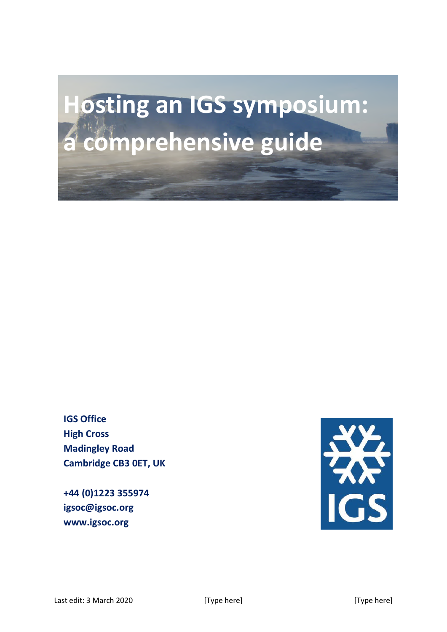# **Hosting an IGS symposium: a comprehensive guide**

**IGS Office High Cross Madingley Road Cambridge CB3 0ET, UK**

**+44 (0)1223 355974 igsoc@igsoc.org www.igsoc.org**

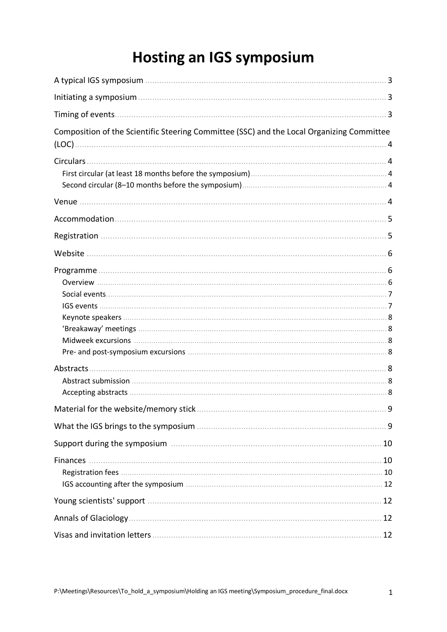## **Hosting an IGS symposium**

| Composition of the Scientific Steering Committee (SSC) and the Local Organizing Committee |  |
|-------------------------------------------------------------------------------------------|--|
|                                                                                           |  |
|                                                                                           |  |
|                                                                                           |  |
|                                                                                           |  |
|                                                                                           |  |
|                                                                                           |  |
|                                                                                           |  |
|                                                                                           |  |
|                                                                                           |  |
|                                                                                           |  |
|                                                                                           |  |
|                                                                                           |  |
|                                                                                           |  |
|                                                                                           |  |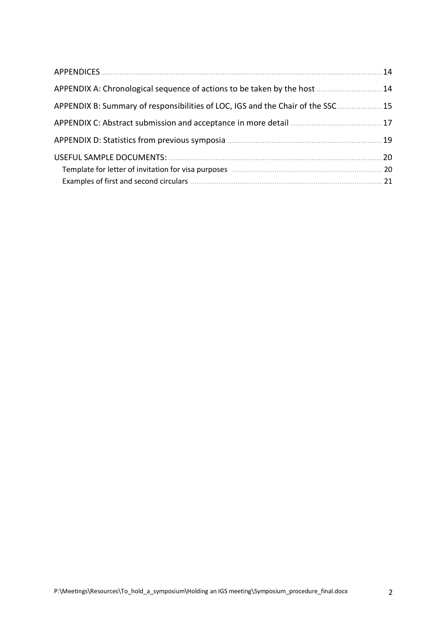| APPENDICES                                                                    | 14             |
|-------------------------------------------------------------------------------|----------------|
| APPENDIX A: Chronological sequence of actions to be taken by the host.        | 14             |
| APPENDIX B: Summary of responsibilities of LOC, IGS and the Chair of the SSC. | 15             |
|                                                                               | 17             |
|                                                                               | 19             |
|                                                                               | 20<br>20<br>21 |
|                                                                               |                |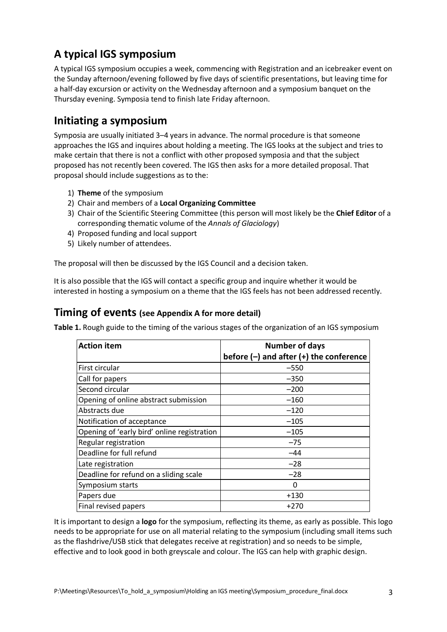## **A typical IGS symposium**

A typical IGS symposium occupies a week, commencing with Registration and an icebreaker event on the Sunday afternoon/evening followed by five days of scientific presentations, but leaving time for a half-day excursion or activity on the Wednesday afternoon and a symposium banquet on the Thursday evening. Symposia tend to finish late Friday afternoon.

## **Initiating a symposium**

Symposia are usually initiated 3–4 years in advance. The normal procedure is that someone approaches the IGS and inquires about holding a meeting. The IGS looks at the subject and tries to make certain that there is not a conflict with other proposed symposia and that the subject proposed has not recently been covered. The IGS then asks for a more detailed proposal. That proposal should include suggestions as to the:

- 1) **Theme** of the symposium
- 2) Chair and members of a **Local Organizing Committee**
- 3) Chair of the Scientific Steering Committee (this person will most likely be the **Chief Editor** of a corresponding thematic volume of the *Annals of Glaciology*)
- 4) Proposed funding and local support
- 5) Likely number of attendees.

The proposal will then be discussed by the IGS Council and a decision taken.

It is also possible that the IGS will contact a specific group and inquire whether it would be interested in hosting a symposium on a theme that the IGS feels has not been addressed recently.

### **Timing of events (see Appendix A for more detail)**

**Table 1.** Rough guide to the timing of the various stages of the organization of an IGS symposium

| <b>Action item</b>                          | <b>Number of days</b>                       |  |  |  |
|---------------------------------------------|---------------------------------------------|--|--|--|
|                                             | before $(-)$ and after $(+)$ the conference |  |  |  |
| First circular                              | $-550$                                      |  |  |  |
| Call for papers                             | $-350$                                      |  |  |  |
| Second circular                             | $-200$                                      |  |  |  |
| Opening of online abstract submission       | $-160$                                      |  |  |  |
| Abstracts due                               | $-120$                                      |  |  |  |
| Notification of acceptance                  | $-105$                                      |  |  |  |
| Opening of 'early bird' online registration | $-105$                                      |  |  |  |
| Regular registration                        | $-75$                                       |  |  |  |
| Deadline for full refund                    | $-44$                                       |  |  |  |
| Late registration                           | $-28$                                       |  |  |  |
| Deadline for refund on a sliding scale      | $-28$                                       |  |  |  |
| Symposium starts                            | 0                                           |  |  |  |
| Papers due                                  | $+130$                                      |  |  |  |
| Final revised papers                        | +270                                        |  |  |  |

It is important to design a **logo** for the symposium, reflecting its theme, as early as possible. This logo needs to be appropriate for use on all material relating to the symposium (including small items such as the flashdrive/USB stick that delegates receive at registration) and so needs to be simple, effective and to look good in both greyscale and colour. The IGS can help with graphic design.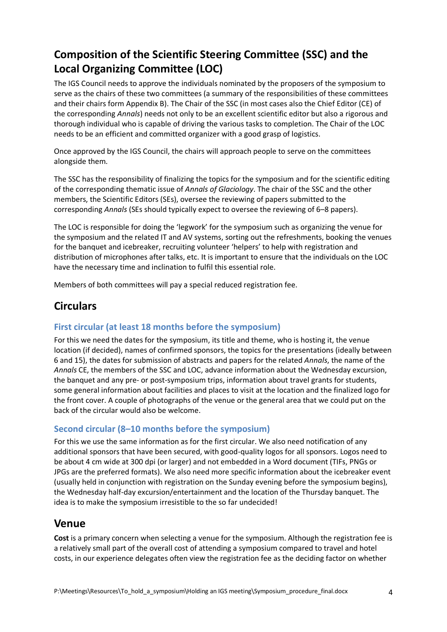## **Composition of the Scientific Steering Committee (SSC) and the Local Organizing Committee (LOC)**

The IGS Council needs to approve the individuals nominated by the proposers of the symposium to serve as the chairs of these two committees (a summary of the responsibilities of these committees and their chairs form Appendix B). The Chair of the SSC (in most cases also the Chief Editor (CE) of the corresponding *Annals*) needs not only to be an excellent scientific editor but also a rigorous and thorough individual who is capable of driving the various tasks to completion. The Chair of the LOC needs to be an efficient and committed organizer with a good grasp of logistics.

Once approved by the IGS Council, the chairs will approach people to serve on the committees alongside them.

The SSC has the responsibility of finalizing the topics for the symposium and for the scientific editing of the corresponding thematic issue of *Annals of Glaciology*. The chair of the SSC and the other members, the Scientific Editors (SEs), oversee the reviewing of papers submitted to the corresponding *Annals* (SEs should typically expect to oversee the reviewing of 6–8 papers).

The LOC is responsible for doing the 'legwork' for the symposium such as organizing the venue for the symposium and the related IT and AV systems, sorting out the refreshments, booking the venues for the banquet and icebreaker, recruiting volunteer 'helpers' to help with registration and distribution of microphones after talks, etc. It is important to ensure that the individuals on the LOC have the necessary time and inclination to fulfil this essential role.

Members of both committees will pay a special reduced registration fee.

## **Circulars**

#### **First circular (at least 18 months before the symposium)**

For this we need the dates for the symposium, its title and theme, who is hosting it, the venue location (if decided), names of confirmed sponsors, the topics for the presentations (ideally between 6 and 15), the dates for submission of abstracts and papers for the related *Annals*, the name of the *Annals* CE, the members of the SSC and LOC, advance information about the Wednesday excursion, the banquet and any pre- or post-symposium trips, information about travel grants for students, some general information about facilities and places to visit at the location and the finalized logo for the front cover. A couple of photographs of the venue or the general area that we could put on the back of the circular would also be welcome.

#### **Second circular (8–10 months before the symposium)**

For this we use the same information as for the first circular. We also need notification of any additional sponsors that have been secured, with good-quality logos for all sponsors. Logos need to be about 4 cm wide at 300 dpi (or larger) and not embedded in a Word document (TIFs, PNGs or JPGs are the preferred formats). We also need more specific information about the icebreaker event (usually held in conjunction with registration on the Sunday evening before the symposium begins), the Wednesday half-day excursion/entertainment and the location of the Thursday banquet. The idea is to make the symposium irresistible to the so far undecided!

## **Venue**

**Cost** is a primary concern when selecting a venue for the symposium. Although the registration fee is a relatively small part of the overall cost of attending a symposium compared to travel and hotel costs, in our experience delegates often view the registration fee as the deciding factor on whether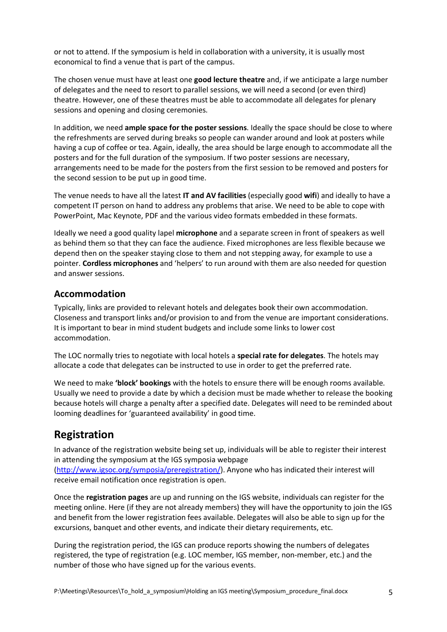or not to attend. If the symposium is held in collaboration with a university, it is usually most economical to find a venue that is part of the campus.

The chosen venue must have at least one **good lecture theatre** and, if we anticipate a large number of delegates and the need to resort to parallel sessions, we will need a second (or even third) theatre. However, one of these theatres must be able to accommodate all delegates for plenary sessions and opening and closing ceremonies.

In addition, we need **ample space for the poster sessions**. Ideally the space should be close to where the refreshments are served during breaks so people can wander around and look at posters while having a cup of coffee or tea. Again, ideally, the area should be large enough to accommodate all the posters and for the full duration of the symposium. If two poster sessions are necessary, arrangements need to be made for the posters from the first session to be removed and posters for the second session to be put up in good time.

The venue needs to have all the latest **IT and AV facilities** (especially good **wifi**) and ideally to have a competent IT person on hand to address any problems that arise. We need to be able to cope with PowerPoint, Mac Keynote, PDF and the various video formats embedded in these formats.

Ideally we need a good quality lapel **microphone** and a separate screen in front of speakers as well as behind them so that they can face the audience. Fixed microphones are less flexible because we depend then on the speaker staying close to them and not stepping away, for example to use a pointer. **Cordless microphones** and 'helpers' to run around with them are also needed for question and answer sessions.

#### **Accommodation**

Typically, links are provided to relevant hotels and delegates book their own accommodation. Closeness and transport links and/or provision to and from the venue are important considerations. It is important to bear in mind student budgets and include some links to lower cost accommodation.

The LOC normally tries to negotiate with local hotels a **special rate for delegates**. The hotels may allocate a code that delegates can be instructed to use in order to get the preferred rate.

We need to make **'block' bookings** with the hotels to ensure there will be enough rooms available. Usually we need to provide a date by which a decision must be made whether to release the booking because hotels will charge a penalty after a specified date. Delegates will need to be reminded about looming deadlines for 'guaranteed availability' in good time.

## **Registration**

In advance of the registration website being set up, individuals will be able to register their interest in attending the symposium at the IGS symposia webpage

[\(http://www.igsoc.org/symposia/preregistration/\)](http://www.igsoc.org/symposia/preregistration/). Anyone who has indicated their interest will receive email notification once registration is open.

Once the **registration pages** are up and running on the IGS website, individuals can register for the meeting online. Here (if they are not already members) they will have the opportunity to join the IGS and benefit from the lower registration fees available. Delegates will also be able to sign up for the excursions, banquet and other events, and indicate their dietary requirements, etc.

During the registration period, the IGS can produce reports showing the numbers of delegates registered, the type of registration (e.g. LOC member, IGS member, non-member, etc.) and the number of those who have signed up for the various events.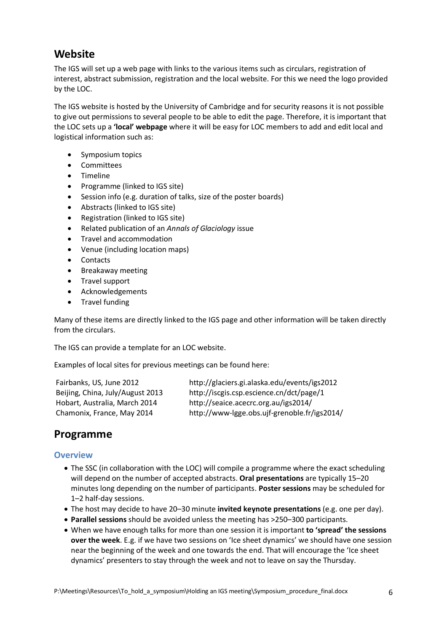## **Website**

The IGS will set up a web page with links to the various items such as circulars, registration of interest, abstract submission, registration and the local website. For this we need the logo provided by the LOC.

The IGS website is hosted by the University of Cambridge and for security reasons it is not possible to give out permissions to several people to be able to edit the page. Therefore, it is important that the LOC sets up a **'local' webpage** where it will be easy for LOC members to add and edit local and logistical information such as:

- Symposium topics
- Committees
- Timeline
- Programme (linked to IGS site)
- Session info (e.g. duration of talks, size of the poster boards)
- Abstracts (linked to IGS site)
- Registration (linked to IGS site)
- Related publication of an *Annals of Glaciology* issue
- Travel and accommodation
- Venue (including location maps)
- Contacts
- Breakaway meeting
- Travel support
- Acknowledgements
- Travel funding

Many of these items are directly linked to the IGS page and other information will be taken directly from the circulars.

The IGS can provide a template for an LOC website.

Examples of local sites for previous meetings can be found here:

| Fairbanks, US, June 2012         | http://glaciers.gi.alaska.edu/events/igs2012 |
|----------------------------------|----------------------------------------------|
| Beijing, China, July/August 2013 | http://iscgis.csp.escience.cn/dct/page/1     |
| Hobart, Australia, March 2014    | http://seaice.acecrc.org.au/igs2014/         |
| Chamonix, France, May 2014       | http://www-lgge.obs.ujf-grenoble.fr/igs2014/ |

## **Programme**

#### **Overview**

- The SSC (in collaboration with the LOC) will compile a programme where the exact scheduling will depend on the number of accepted abstracts. **Oral presentations** are typically 15–20 minutes long depending on the number of participants. **Poster sessions** may be scheduled for 1–2 half-day sessions.
- The host may decide to have 20–30 minute **invited keynote presentations** (e.g. one per day).
- **Parallel sessions** should be avoided unless the meeting has >250–300 participants.
- When we have enough talks for more than one session it is important **to 'spread' the sessions over the week**. E.g. if we have two sessions on 'Ice sheet dynamics' we should have one session near the beginning of the week and one towards the end. That will encourage the 'Ice sheet dynamics' presenters to stay through the week and not to leave on say the Thursday.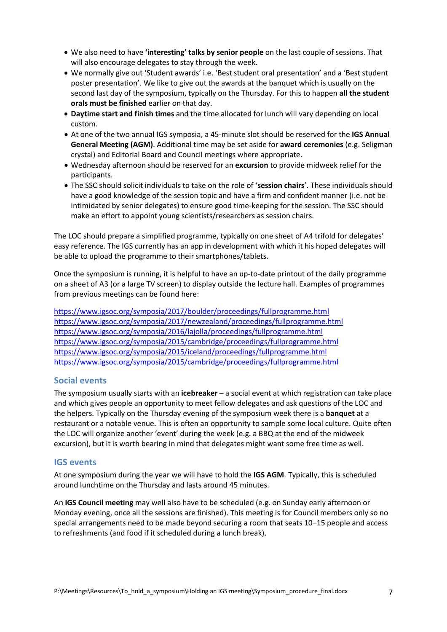- We also need to have **'interesting' talks by senior people** on the last couple of sessions. That will also encourage delegates to stay through the week.
- We normally give out 'Student awards' i.e. 'Best student oral presentation' and a 'Best student poster presentation'. We like to give out the awards at the banquet which is usually on the second last day of the symposium, typically on the Thursday. For this to happen **all the student orals must be finished** earlier on that day.
- **Daytime start and finish times** and the time allocated for lunch will vary depending on local custom.
- At one of the two annual IGS symposia, a 45-minute slot should be reserved for the **IGS Annual General Meeting (AGM)**. Additional time may be set aside for **award ceremonies** (e.g. Seligman crystal) and Editorial Board and Council meetings where appropriate.
- Wednesday afternoon should be reserved for an **excursion** to provide midweek relief for the participants.
- The SSC should solicit individuals to take on the role of '**session chairs**'. These individuals should have a good knowledge of the session topic and have a firm and confident manner (i.e. not be intimidated by senior delegates) to ensure good time-keeping for the session. The SSC should make an effort to appoint young scientists/researchers as session chairs.

The LOC should prepare a simplified programme, typically on one sheet of A4 trifold for delegates' easy reference. The IGS currently has an app in development with which it his hoped delegates will be able to upload the programme to their smartphones/tablets.

Once the symposium is running, it is helpful to have an up-to-date printout of the daily programme on a sheet of A3 (or a large TV screen) to display outside the lecture hall. Examples of programmes from previous meetings can be found here:

<https://www.igsoc.org/symposia/2017/boulder/proceedings/fullprogramme.html> <https://www.igsoc.org/symposia/2017/newzealand/proceedings/fullprogramme.html> <https://www.igsoc.org/symposia/2016/lajolla/proceedings/fullprogramme.html> <https://www.igsoc.org/symposia/2015/cambridge/proceedings/fullprogramme.html> <https://www.igsoc.org/symposia/2015/iceland/proceedings/fullprogramme.html> <https://www.igsoc.org/symposia/2015/cambridge/proceedings/fullprogramme.html>

#### **Social events**

The symposium usually starts with an **icebreaker** – a social event at which registration can take place and which gives people an opportunity to meet fellow delegates and ask questions of the LOC and the helpers. Typically on the Thursday evening of the symposium week there is a **banquet** at a restaurant or a notable venue. This is often an opportunity to sample some local culture. Quite often the LOC will organize another 'event' during the week (e.g. a BBQ at the end of the midweek excursion), but it is worth bearing in mind that delegates might want some free time as well.

#### **IGS events**

At one symposium during the year we will have to hold the **IGS AGM**. Typically, this is scheduled around lunchtime on the Thursday and lasts around 45 minutes.

An **IGS Council meeting** may well also have to be scheduled (e.g. on Sunday early afternoon or Monday evening, once all the sessions are finished). This meeting is for Council members only so no special arrangements need to be made beyond securing a room that seats 10–15 people and access to refreshments (and food if it scheduled during a lunch break).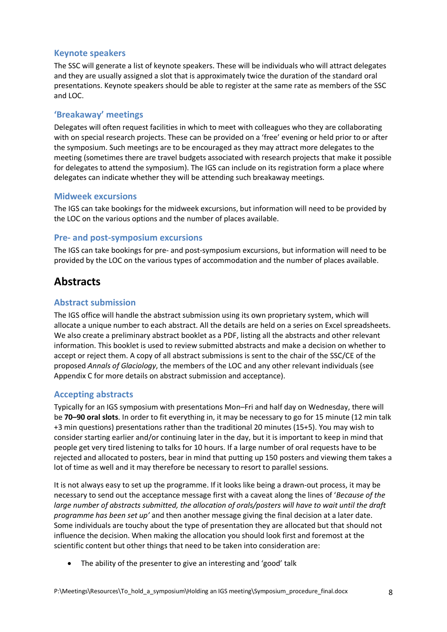#### **Keynote speakers**

The SSC will generate a list of keynote speakers. These will be individuals who will attract delegates and they are usually assigned a slot that is approximately twice the duration of the standard oral presentations. Keynote speakers should be able to register at the same rate as members of the SSC and LOC.

#### **'Breakaway' meetings**

Delegates will often request facilities in which to meet with colleagues who they are collaborating with on special research projects. These can be provided on a 'free' evening or held prior to or after the symposium. Such meetings are to be encouraged as they may attract more delegates to the meeting (sometimes there are travel budgets associated with research projects that make it possible for delegates to attend the symposium). The IGS can include on its registration form a place where delegates can indicate whether they will be attending such breakaway meetings.

#### **Midweek excursions**

The IGS can take bookings for the midweek excursions, but information will need to be provided by the LOC on the various options and the number of places available.

#### **Pre- and post-symposium excursions**

The IGS can take bookings for pre- and post-symposium excursions, but information will need to be provided by the LOC on the various types of accommodation and the number of places available.

## **Abstracts**

#### **Abstract submission**

The IGS office will handle the abstract submission using its own proprietary system, which will allocate a unique number to each abstract. All the details are held on a series on Excel spreadsheets. We also create a preliminary abstract booklet as a PDF, listing all the abstracts and other relevant information. This booklet is used to review submitted abstracts and make a decision on whether to accept or reject them. A copy of all abstract submissions is sent to the chair of the SSC/CE of the proposed *Annals of Glaciology*, the members of the LOC and any other relevant individuals (see Appendix C for more details on abstract submission and acceptance).

#### **Accepting abstracts**

Typically for an IGS symposium with presentations Mon–Fri and half day on Wednesday, there will be **70–90 oral slots**. In order to fit everything in, it may be necessary to go for 15 minute (12 min talk +3 min questions) presentations rather than the traditional 20 minutes (15+5). You may wish to consider starting earlier and/or continuing later in the day, but it is important to keep in mind that people get very tired listening to talks for 10 hours. If a large number of oral requests have to be rejected and allocated to posters, bear in mind that putting up 150 posters and viewing them takes a lot of time as well and it may therefore be necessary to resort to parallel sessions.

It is not always easy to set up the programme. If it looks like being a drawn-out process, it may be necessary to send out the acceptance message first with a caveat along the lines of '*Because of the large number of abstracts submitted, the allocation of orals/posters will have to wait until the draft programme has been set up'* and then another message giving the final decision at a later date. Some individuals are touchy about the type of presentation they are allocated but that should not influence the decision. When making the allocation you should look first and foremost at the scientific content but other things that need to be taken into consideration are:

• The ability of the presenter to give an interesting and 'good' talk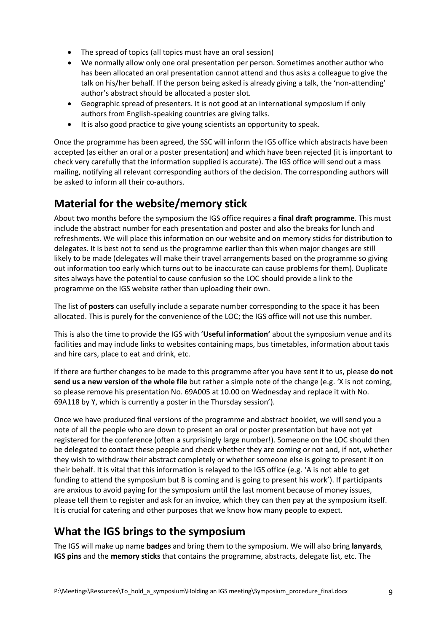- The spread of topics (all topics must have an oral session)
- We normally allow only one oral presentation per person. Sometimes another author who has been allocated an oral presentation cannot attend and thus asks a colleague to give the talk on his/her behalf. If the person being asked is already giving a talk, the 'non-attending' author's abstract should be allocated a poster slot.
- Geographic spread of presenters. It is not good at an international symposium if only authors from English-speaking countries are giving talks.
- It is also good practice to give young scientists an opportunity to speak.

Once the programme has been agreed, the SSC will inform the IGS office which abstracts have been accepted (as either an oral or a poster presentation) and which have been rejected (it is important to check very carefully that the information supplied is accurate). The IGS office will send out a mass mailing, notifying all relevant corresponding authors of the decision. The corresponding authors will be asked to inform all their co-authors.

## **Material for the website/memory stick**

About two months before the symposium the IGS office requires a **final draft programme**. This must include the abstract number for each presentation and poster and also the breaks for lunch and refreshments. We will place this information on our website and on memory sticks for distribution to delegates. It is best not to send us the programme earlier than this when major changes are still likely to be made (delegates will make their travel arrangements based on the programme so giving out information too early which turns out to be inaccurate can cause problems for them). Duplicate sites always have the potential to cause confusion so the LOC should provide a link to the programme on the IGS website rather than uploading their own.

The list of **posters** can usefully include a separate number corresponding to the space it has been allocated. This is purely for the convenience of the LOC; the IGS office will not use this number.

This is also the time to provide the IGS with '**Useful information'** about the symposium venue and its facilities and may include links to websites containing maps, bus timetables, information about taxis and hire cars, place to eat and drink, etc.

If there are further changes to be made to this programme after you have sent it to us, please **do not send us a new version of the whole file** but rather a simple note of the change (e.g. 'X is not coming, so please remove his presentation No. 69A005 at 10.00 on Wednesday and replace it with No. 69A118 by Y, which is currently a poster in the Thursday session').

Once we have produced final versions of the programme and abstract booklet, we will send you a note of all the people who are down to present an oral or poster presentation but have not yet registered for the conference (often a surprisingly large number!). Someone on the LOC should then be delegated to contact these people and check whether they are coming or not and, if not, whether they wish to withdraw their abstract completely or whether someone else is going to present it on their behalf. It is vital that this information is relayed to the IGS office (e.g. 'A is not able to get funding to attend the symposium but B is coming and is going to present his work'). If participants are anxious to avoid paying for the symposium until the last moment because of money issues, please tell them to register and ask for an invoice, which they can then pay at the symposium itself. It is crucial for catering and other purposes that we know how many people to expect.

## **What the IGS brings to the symposium**

The IGS will make up name **badges** and bring them to the symposium. We will also bring **lanyards**, **IGS pins** and the **memory sticks** that contains the programme, abstracts, delegate list, etc. The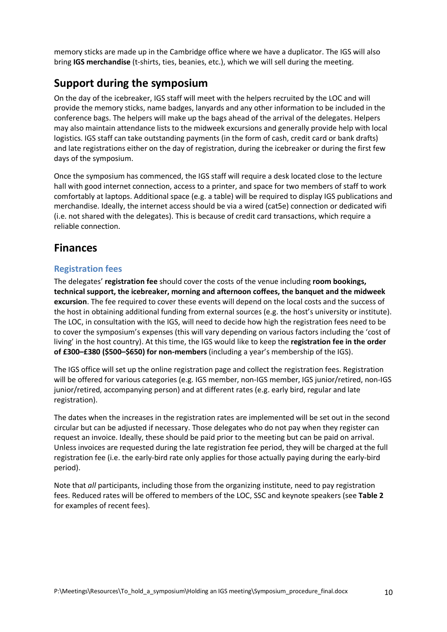memory sticks are made up in the Cambridge office where we have a duplicator. The IGS will also bring **IGS merchandise** (t-shirts, ties, beanies, etc.), which we will sell during the meeting.

## **Support during the symposium**

On the day of the icebreaker, IGS staff will meet with the helpers recruited by the LOC and will provide the memory sticks, name badges, lanyards and any other information to be included in the conference bags. The helpers will make up the bags ahead of the arrival of the delegates. Helpers may also maintain attendance lists to the midweek excursions and generally provide help with local logistics. IGS staff can take outstanding payments (in the form of cash, credit card or bank drafts) and late registrations either on the day of registration, during the icebreaker or during the first few days of the symposium.

Once the symposium has commenced, the IGS staff will require a desk located close to the lecture hall with good internet connection, access to a printer, and space for two members of staff to work comfortably at laptops. Additional space (e.g. a table) will be required to display IGS publications and merchandise. Ideally, the internet access should be via a wired (cat5e) connection or dedicated wifi (i.e. not shared with the delegates). This is because of credit card transactions, which require a reliable connection.

## **Finances**

#### **Registration fees**

The delegates' **registration fee** should cover the costs of the venue including **room bookings, technical support, the icebreaker, morning and afternoon coffees, the banquet and the midweek excursion**. The fee required to cover these events will depend on the local costs and the success of the host in obtaining additional funding from external sources (e.g. the host's university or institute). The LOC, in consultation with the IGS, will need to decide how high the registration fees need to be to cover the symposium's expenses (this will vary depending on various factors including the 'cost of living' in the host country). At this time, the IGS would like to keep the **registration fee in the order of £300–£380 (\$500–\$650) for non-members** (including a year's membership of the IGS).

The IGS office will set up the online registration page and collect the registration fees. Registration will be offered for various categories (e.g. IGS member, non-IGS member, IGS junior/retired, non-IGS junior/retired, accompanying person) and at different rates (e.g. early bird, regular and late registration).

The dates when the increases in the registration rates are implemented will be set out in the second circular but can be adjusted if necessary. Those delegates who do not pay when they register can request an invoice. Ideally, these should be paid prior to the meeting but can be paid on arrival. Unless invoices are requested during the late registration fee period, they will be charged at the full registration fee (i.e. the early-bird rate only applies for those actually paying during the early-bird period).

Note that *all* participants, including those from the organizing institute, need to pay registration fees. Reduced rates will be offered to members of the LOC, SSC and keynote speakers (see **Table 2** for examples of recent fees).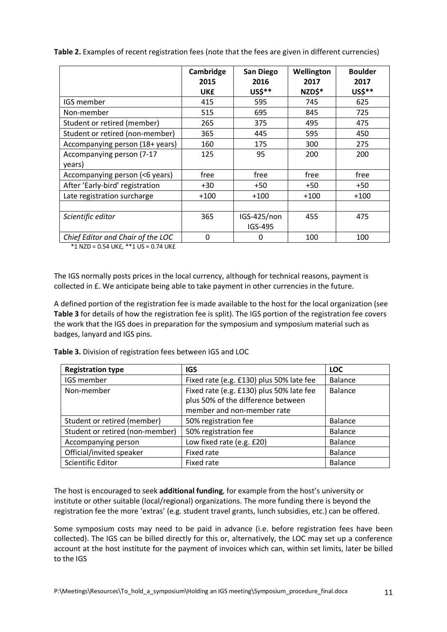|                                     | Cambridge<br>2015<br><b>UK£</b> | San Diego<br>2016<br>US\$** | Wellington<br>2017<br>NZD\$* | <b>Boulder</b><br>2017<br>US\$** |
|-------------------------------------|---------------------------------|-----------------------------|------------------------------|----------------------------------|
| IGS member                          | 415                             | 595                         | 745                          | 625                              |
| Non-member                          | 515                             | 695                         | 845                          | 725                              |
| Student or retired (member)         | 265                             | 375                         | 495                          | 475                              |
| Student or retired (non-member)     | 365                             | 445                         | 595                          | 450                              |
| Accompanying person (18+ years)     | 160                             | 175                         | 300                          | 275                              |
| Accompanying person (7-17<br>years) | 125                             | 95                          | 200                          | 200                              |
| Accompanying person (<6 years)      | free                            | free                        | free                         | free                             |
| After 'Early-bird' registration     | $+30$                           | $+50$                       | $+50$                        | $+50$                            |
| Late registration surcharge         | $+100$                          | $+100$                      | $+100$                       | $+100$                           |
|                                     |                                 |                             |                              |                                  |
| Scientific editor                   | 365                             | IGS-425/non<br>IGS-495      | 455                          | 475                              |
| Chief Editor and Chair of the LOC   | 0                               | 0                           | 100                          | 100                              |

**Table 2.** Examples of recent registration fees (note that the fees are given in different currencies)

 $*1$  NZD = 0.54 UK£,  $**1$  US = 0.74 UK£

The IGS normally posts prices in the local currency, although for technical reasons, payment is collected in £. We anticipate being able to take payment in other currencies in the future.

A defined portion of the registration fee is made available to the host for the local organization (see **Table 3** for details of how the registration fee is split). The IGS portion of the registration fee covers the work that the IGS does in preparation for the symposium and symposium material such as badges, lanyard and IGS pins.

**Table 3.** Division of registration fees between IGS and LOC

| <b>Registration type</b>        | <b>IGS</b>                               | <b>LOC</b>     |
|---------------------------------|------------------------------------------|----------------|
| IGS member                      | Fixed rate (e.g. £130) plus 50% late fee | <b>Balance</b> |
| Non-member                      | Fixed rate (e.g. £130) plus 50% late fee | <b>Balance</b> |
|                                 | plus 50% of the difference between       |                |
|                                 | member and non-member rate               |                |
| Student or retired (member)     | 50% registration fee                     | <b>Balance</b> |
| Student or retired (non-member) | 50% registration fee                     | <b>Balance</b> |
| Accompanying person             | Low fixed rate (e.g. £20)                | Balance        |
| Official/invited speaker        | Fixed rate                               | <b>Balance</b> |
| Scientific Editor               | Fixed rate                               | <b>Balance</b> |

The host is encouraged to seek **additional funding**, for example from the host's university or institute or other suitable (local/regional) organizations. The more funding there is beyond the registration fee the more 'extras' (e.g. student travel grants, lunch subsidies, etc.) can be offered.

Some symposium costs may need to be paid in advance (i.e. before registration fees have been collected). The IGS can be billed directly for this or, alternatively, the LOC may set up a conference account at the host institute for the payment of invoices which can, within set limits, later be billed to the IGS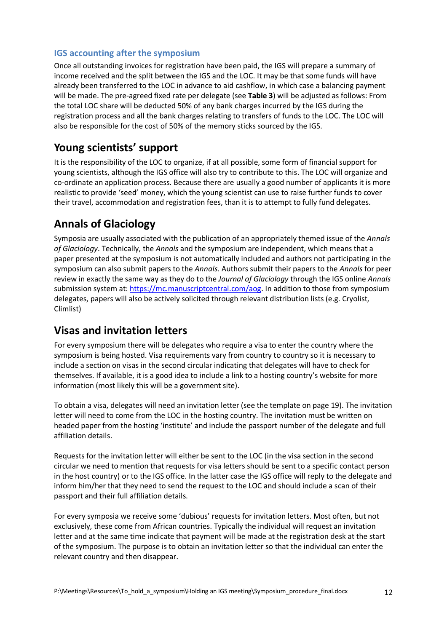#### **IGS accounting after the symposium**

Once all outstanding invoices for registration have been paid, the IGS will prepare a summary of income received and the split between the IGS and the LOC. It may be that some funds will have already been transferred to the LOC in advance to aid cashflow, in which case a balancing payment will be made. The pre-agreed fixed rate per delegate (see **Table 3**) will be adjusted as follows: From the total LOC share will be deducted 50% of any bank charges incurred by the IGS during the registration process and all the bank charges relating to transfers of funds to the LOC. The LOC will also be responsible for the cost of 50% of the memory sticks sourced by the IGS.

## **Young scientists' support**

It is the responsibility of the LOC to organize, if at all possible, some form of financial support for young scientists, although the IGS office will also try to contribute to this. The LOC will organize and co-ordinate an application process. Because there are usually a good number of applicants it is more realistic to provide 'seed' money, which the young scientist can use to raise further funds to cover their travel, accommodation and registration fees, than it is to attempt to fully fund delegates.

## **Annals of Glaciology**

Symposia are usually associated with the publication of an appropriately themed issue of the *Annals of Glaciology*. Technically, the *Annals* and the symposium are independent, which means that a paper presented at the symposium is not automatically included and authors not participating in the symposium can also submit papers to the *Annals*. Authors submit their papers to the *Annals* for peer review in exactly the same way as they do to the *Journal of Glaciology* through the IGS online *Annals* submission system at: [https://mc.manuscriptcentral.com/aog.](https://mc.manuscriptcentral.com/aog) In addition to those from symposium delegates, papers will also be actively solicited through relevant distribution lists (e.g. Cryolist, Climlist)

## **Visas and invitation letters**

For every symposium there will be delegates who require a visa to enter the country where the symposium is being hosted. Visa requirements vary from country to country so it is necessary to include a section on visas in the second circular indicating that delegates will have to check for themselves. If available, it is a good idea to include a link to a hosting country's website for more information (most likely this will be a government site).

To obtain a visa, delegates will need an invitation letter (see the template on page 19). The invitation letter will need to come from the LOC in the hosting country. The invitation must be written on headed paper from the hosting 'institute' and include the passport number of the delegate and full affiliation details.

Requests for the invitation letter will either be sent to the LOC (in the visa section in the second circular we need to mention that requests for visa letters should be sent to a specific contact person in the host country) or to the IGS office. In the latter case the IGS office will reply to the delegate and inform him/her that they need to send the request to the LOC and should include a scan of their passport and their full affiliation details.

For every symposia we receive some 'dubious' requests for invitation letters. Most often, but not exclusively, these come from African countries. Typically the individual will request an invitation letter and at the same time indicate that payment will be made at the registration desk at the start of the symposium. The purpose is to obtain an invitation letter so that the individual can enter the relevant country and then disappear.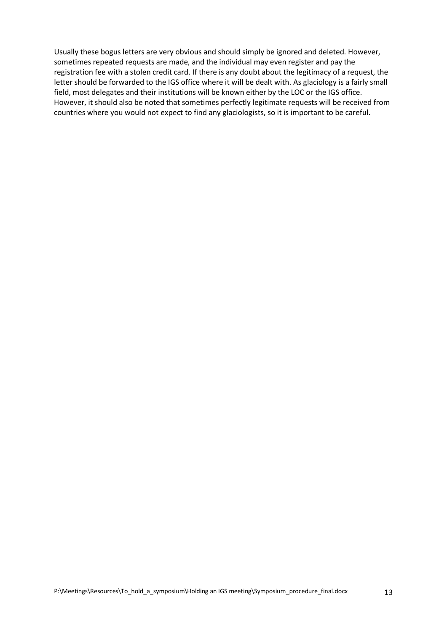Usually these bogus letters are very obvious and should simply be ignored and deleted. However, sometimes repeated requests are made, and the individual may even register and pay the registration fee with a stolen credit card. If there is any doubt about the legitimacy of a request, the letter should be forwarded to the IGS office where it will be dealt with. As glaciology is a fairly small field, most delegates and their institutions will be known either by the LOC or the IGS office. However, it should also be noted that sometimes perfectly legitimate requests will be received from countries where you would not expect to find any glaciologists, so it is important to be careful.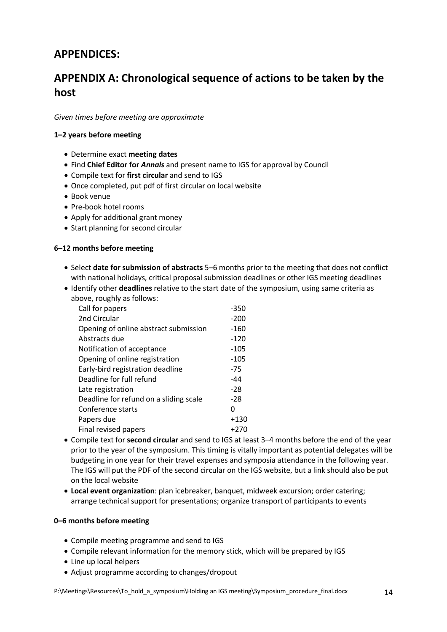## **APPENDICES:**

## **APPENDIX A: Chronological sequence of actions to be taken by the host**

*Given times before meeting are approximate*

#### **1–2 years before meeting**

- Determine exact **meeting dates**
- Find **Chief Editor for** *Annals* and present name to IGS for approval by Council
- Compile text for **first circular** and send to IGS
- Once completed, put pdf of first circular on local website
- Book venue
- Pre-book hotel rooms
- Apply for additional grant money
- Start planning for second circular

#### **6–12 months before meeting**

- Select **date for submission of abstracts** 5–6 months prior to the meeting that does not conflict with national holidays, critical proposal submission deadlines or other IGS meeting deadlines
- Identify other **deadlines** relative to the start date of the symposium, using same criteria as

| above, roughly as follows:             |        |
|----------------------------------------|--------|
| Call for papers                        | $-350$ |
| 2nd Circular                           | $-200$ |
| Opening of online abstract submission  | -160   |
| Abstracts due                          | $-120$ |
| Notification of acceptance             | $-105$ |
| Opening of online registration         | $-105$ |
| Early-bird registration deadline       | $-75$  |
| Deadline for full refund               | -44    |
| Late registration                      | $-28$  |
| Deadline for refund on a sliding scale | -28    |
| Conference starts                      | O      |
| Papers due                             | $+130$ |
| Final revised papers                   | +270   |
|                                        |        |

- Compile text for **second circular** and send to IGS at least 3–4 months before the end of the year prior to the year of the symposium. This timing is vitally important as potential delegates will be budgeting in one year for their travel expenses and symposia attendance in the following year. The IGS will put the PDF of the second circular on the IGS website, but a link should also be put on the local website
- **Local event organization**: plan icebreaker, banquet, midweek excursion; order catering; arrange technical support for presentations; organize transport of participants to events

#### **0–6 months before meeting**

- Compile meeting programme and send to IGS
- Compile relevant information for the memory stick, which will be prepared by IGS
- Line up local helpers
- Adjust programme according to changes/dropout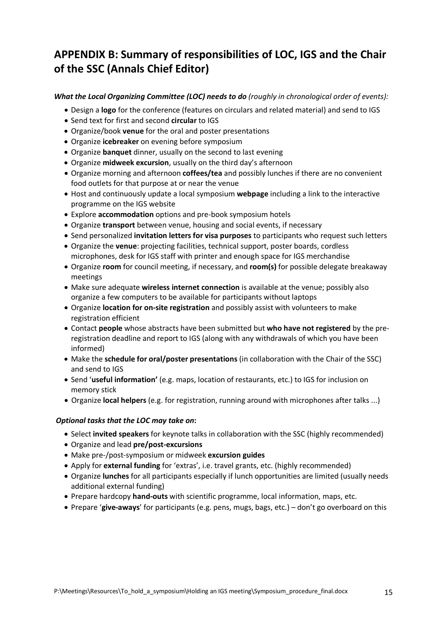## **APPENDIX B: Summary of responsibilities of LOC, IGS and the Chair of the SSC (Annals Chief Editor)**

#### *What the Local Organizing Committee (LOC) needs to do (roughly in chronological order of events):*

- Design a **logo** for the conference (features on circulars and related material) and send to IGS
- Send text for first and second **circular** to IGS
- Organize/book **venue** for the oral and poster presentations
- Organize **icebreaker** on evening before symposium
- Organize **banquet** dinner, usually on the second to last evening
- Organize **midweek excursion**, usually on the third day's afternoon
- Organize morning and afternoon **coffees/tea** and possibly lunches if there are no convenient food outlets for that purpose at or near the venue
- Host and continuously update a local symposium **webpage** including a link to the interactive programme on the IGS website
- Explore **accommodation** options and pre-book symposium hotels
- Organize **transport** between venue, housing and social events, if necessary
- Send personalized **invitation letters for visa purposes** to participants who request such letters
- Organize the **venue**: projecting facilities, technical support, poster boards, cordless microphones, desk for IGS staff with printer and enough space for IGS merchandise
- Organize **room** for council meeting, if necessary, and **room(s)** for possible delegate breakaway meetings
- Make sure adequate **wireless internet connection** is available at the venue; possibly also organize a few computers to be available for participants without laptops
- Organize **location for on-site registration** and possibly assist with volunteers to make registration efficient
- Contact **people** whose abstracts have been submitted but **who have not registered** by the preregistration deadline and report to IGS (along with any withdrawals of which you have been informed)
- Make the **schedule for oral/poster presentations** (in collaboration with the Chair of the SSC) and send to IGS
- Send '**useful information'** (e.g. maps, location of restaurants, etc.) to IGS for inclusion on memory stick
- Organize **local helpers** (e.g. for registration, running around with microphones after talks ...)

#### *Optional tasks that the LOC may take on***:**

- Select **invited speakers** for keynote talks in collaboration with the SSC (highly recommended)
- Organize and lead **pre/post-excursions**
- Make pre-/post-symposium or midweek **excursion guides**
- Apply for **external funding** for 'extras', i.e. travel grants, etc. (highly recommended)
- Organize **lunches** for all participants especially if lunch opportunities are limited (usually needs additional external funding)
- Prepare hardcopy **hand-outs** with scientific programme, local information, maps, etc.
- Prepare '**give-aways**' for participants (e.g. pens, mugs, bags, etc.) don't go overboard on this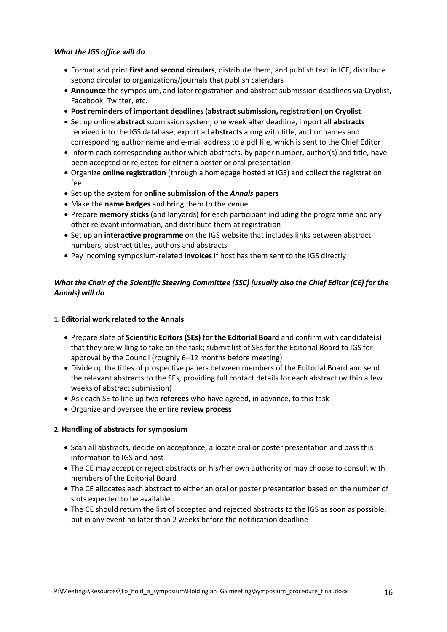#### *What the IGS office will do*

- Format and print **first and second circulars**, distribute them, and publish text in ICE, distribute second circular to organizations/journals that publish calendars
- **Announce** the symposium, and later registration and abstract submission deadlines via Cryolist, Facebook, Twitter, etc.
- **Post reminders of important deadlines (abstract submission, registration) on Cryolist**
- Set up online **abstract** submission system; one week after deadline, import all **abstracts** received into the IGS database; export all **abstracts** along with title, author names and corresponding author name and e-mail address to a pdf file, which is sent to the Chief Editor
- Inform each corresponding author which abstracts, by paper number, author(s) and title, have been accepted or rejected for either a poster or oral presentation
- Organize **online registration** (through a homepage hosted at IGS) and collect the registration fee
- Set up the system for **online submission of the** *Annals* **papers**
- Make the **name badges** and bring them to the venue
- Prepare **memory sticks** (and lanyards) for each participant including the programme and any other relevant information, and distribute them at registration
- Set up an **interactive programme** on the IGS website that includes links between abstract numbers, abstract titles, authors and abstracts
- Pay incoming symposium-related **invoices** if host has them sent to the IGS directly

#### *What the Chair of the Scientific Steering Committee (SSC) (usually also the Chief Editor (CE) for the Annals) will do*

#### **1. Editorial work related to the Annals**

- Prepare slate of **Scientific Editors (SEs) for the Editorial Board** and confirm with candidate(s) that they are willing to take on the task; submit list of SEs for the Editorial Board to IGS for approval by the Council (roughly 6–12 months before meeting)
- Divide up the titles of prospective papers between members of the Editorial Board and send the relevant abstracts to the SEs, providing full contact details for each abstract (within a few weeks of abstract submission)
- Ask each SE to line up two **referees** who have agreed, in advance, to this task
- Organize and oversee the entire **review process**

#### **2. Handling of abstracts for symposium**

- Scan all abstracts, decide on acceptance, allocate oral or poster presentation and pass this information to IGS and host
- The CE may accept or reject abstracts on his/her own authority or may choose to consult with members of the Editorial Board
- The CE allocates each abstract to either an oral or poster presentation based on the number of slots expected to be available
- The CE should return the list of accepted and rejected abstracts to the IGS as soon as possible, but in any event no later than 2 weeks before the notification deadline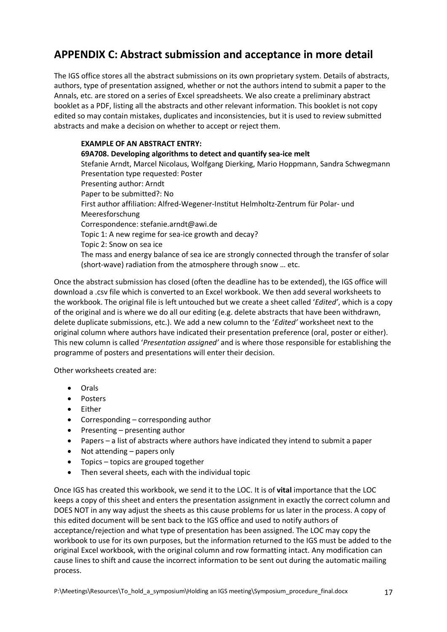## **APPENDIX C: Abstract submission and acceptance in more detail**

The IGS office stores all the abstract submissions on its own proprietary system. Details of abstracts, authors, type of presentation assigned, whether or not the authors intend to submit a paper to the Annals, etc. are stored on a series of Excel spreadsheets. We also create a preliminary abstract booklet as a PDF, listing all the abstracts and other relevant information. This booklet is not copy edited so may contain mistakes, duplicates and inconsistencies, but it is used to review submitted abstracts and make a decision on whether to accept or reject them.

#### **EXAMPLE OF AN ABSTRACT ENTRY:**

**69A708. Developing algorithms to detect and quantify sea-ice melt** Stefanie Arndt, Marcel Nicolaus, Wolfgang Dierking, Mario Hoppmann, Sandra Schwegmann Presentation type requested: Poster Presenting author: Arndt Paper to be submitted?: No First author affiliation: Alfred-Wegener-Institut Helmholtz-Zentrum für Polar- und Meeresforschung Correspondence: stefanie.arndt@awi.de Topic 1: A new regime for sea-ice growth and decay? Topic 2: Snow on sea ice The mass and energy balance of sea ice are strongly connected through the transfer of solar (short-wave) radiation from the atmosphere through snow … etc.

Once the abstract submission has closed (often the deadline has to be extended), the IGS office will download a .csv file which is converted to an Excel workbook. We then add several worksheets to the workbook. The original file is left untouched but we create a sheet called '*Edited'*, which is a copy of the original and is where we do all our editing (e.g. delete abstracts that have been withdrawn, delete duplicate submissions, etc.). We add a new column to the '*Edited'* worksheet next to the original column where authors have indicated their presentation preference (oral, poster or either). This new column is called '*Presentation assigned'* and is where those responsible for establishing the programme of posters and presentations will enter their decision.

Other worksheets created are:

- Orals
- Posters
- Either
- Corresponding corresponding author
- Presenting presenting author
- Papers a list of abstracts where authors have indicated they intend to submit a paper
- Not attending papers only
- Topics topics are grouped together
- Then several sheets, each with the individual topic

Once IGS has created this workbook, we send it to the LOC. It is of **vital** importance that the LOC keeps a copy of this sheet and enters the presentation assignment in exactly the correct column and DOES NOT in any way adjust the sheets as this cause problems for us later in the process. A copy of this edited document will be sent back to the IGS office and used to notify authors of acceptance/rejection and what type of presentation has been assigned. The LOC may copy the workbook to use for its own purposes, but the information returned to the IGS must be added to the original Excel workbook, with the original column and row formatting intact. Any modification can cause lines to shift and cause the incorrect information to be sent out during the automatic mailing process.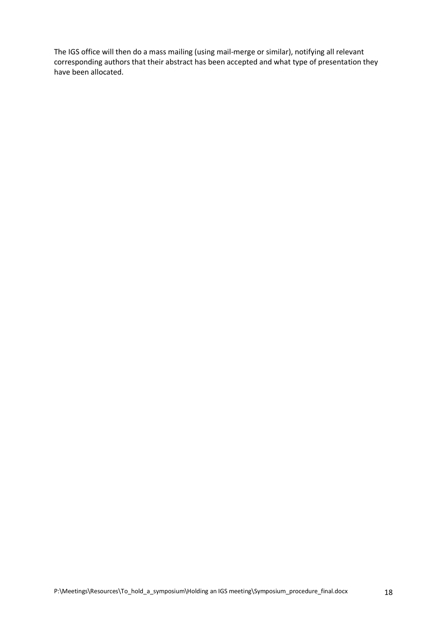The IGS office will then do a mass mailing (using mail-merge or similar), notifying all relevant corresponding authors that their abstract has been accepted and what type of presentation they have been allocated.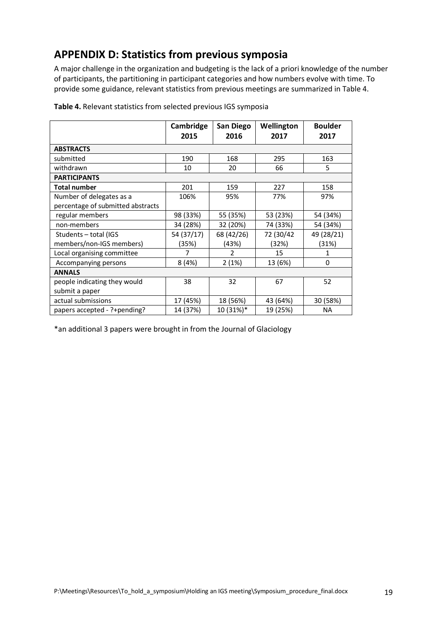## **APPENDIX D: Statistics from previous symposia**

A major challenge in the organization and budgeting is the lack of a priori knowledge of the number of participants, the partitioning in participant categories and how numbers evolve with time. To provide some guidance, relevant statistics from previous meetings are summarized in Table 4.

|                                   | Cambridge<br>2015 | San Diego<br>2016 | Wellington<br>2017 | <b>Boulder</b><br>2017 |
|-----------------------------------|-------------------|-------------------|--------------------|------------------------|
| <b>ABSTRACTS</b>                  |                   |                   |                    |                        |
| submitted                         | 190               | 168               | 295                | 163                    |
| withdrawn                         | 10                | 20                | 66                 | 5                      |
| <b>PARTICIPANTS</b>               |                   |                   |                    |                        |
| <b>Total number</b>               | 201               | 159               | 227                | 158                    |
| Number of delegates as a          | 106%              | 95%               | 77%                | 97%                    |
| percentage of submitted abstracts |                   |                   |                    |                        |
| regular members                   | 98 (33%)          | 55 (35%)          | 53 (23%)           | 54 (34%)               |
| non-members                       | 34 (28%)          | 32 (20%)          | 74 (33%)           | 54 (34%)               |
| Students - total (IGS             | 54 (37/17)        | 68 (42/26)        | 72 (30/42          | 49 (28/21)             |
| members/non-IGS members)          | (35%)             | (43%)             | (32%)              | (31%)                  |
| Local organising committee        | 7                 | 2                 | 15                 | 1                      |
| Accompanying persons              | 8(4%)             | 2(1%)             | 13 (6%)            | 0                      |
| <b>ANNALS</b>                     |                   |                   |                    |                        |
| people indicating they would      | 38                | 32                | 67                 | 52                     |
| submit a paper                    |                   |                   |                    |                        |
| actual submissions                | 17 (45%)          | 18 (56%)          | 43 (64%)           | 30 (58%)               |
| papers accepted - ?+pending?      | 14 (37%)          | 10 (31%)*         | 19 (25%)           | <b>NA</b>              |

**Table 4.** Relevant statistics from selected previous IGS symposia

\*an additional 3 papers were brought in from the Journal of Glaciology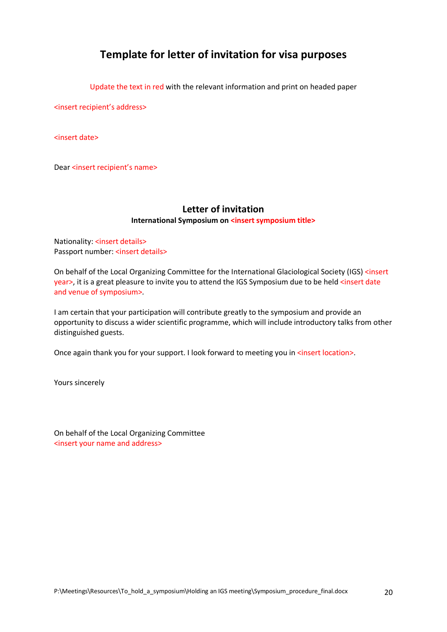## **Template for letter of invitation for visa purposes**

Update the text in red with the relevant information and print on headed paper

<insert recipient's address>

<insert date>

Dear <insert recipient's name>

## **Letter of invitation**

#### **International Symposium on <insert symposium title>**

Nationality: <insert details> Passport number: <insert details>

On behalf of the Local Organizing Committee for the International Glaciological Society (IGS) <insert year>, it is a great pleasure to invite you to attend the IGS Symposium due to be held <insert date and venue of symposium>*.*

I am certain that your participation will contribute greatly to the symposium and provide an opportunity to discuss a wider scientific programme, which will include introductory talks from other distinguished guests.

Once again thank you for your support. I look forward to meeting you in <insert location>.

Yours sincerely

On behalf of the Local Organizing Committee <insert your name and address>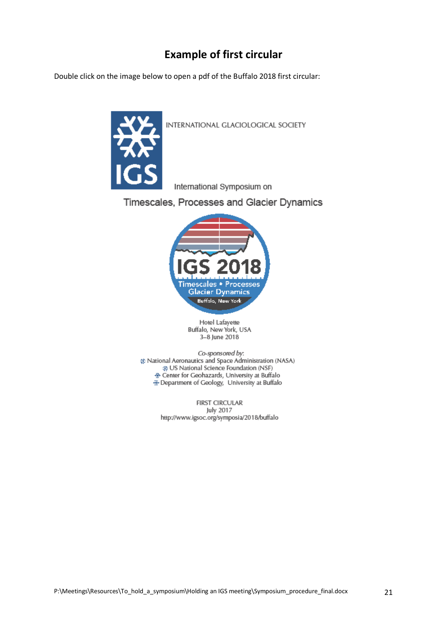## **Example of first circular**

Double click on the image below to open a pdf of the Buffalo 2018 first circular:



INTERNATIONAL GLACIOLOGICAL SOCIETY

International Symposium on

Timescales, Processes and Glacier Dynamics



Hotel Lafayette Buffalo, New York, USA 3-8 June 2018

Co-sponsored by: @ National Aeronautics and Space Administration (NASA) @ US National Science Foundation (NSF) Center for Geohazards, University at Buffalo Department of Geology, University at Buffalo

> **FIRST CIRCULAR** July 2017 http://www.igsoc.org/symposia/2018/buffalo